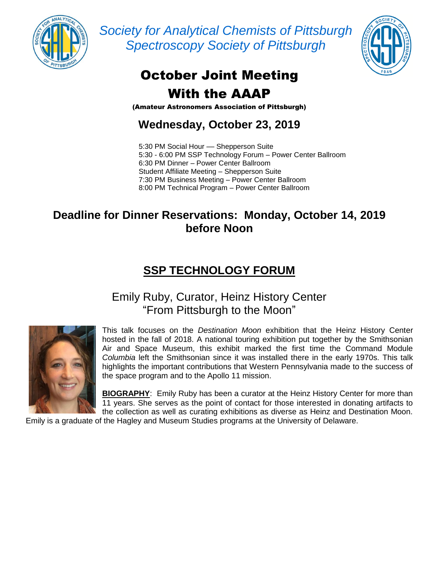

*Society for Analytical Chemists of Pittsburgh Spectroscopy Society of Pittsburgh*



# October Joint Meeting With the AAAP

(Amateur Astronomers Association of Pittsburgh)

**Wednesday, October 23, 2019**

5:30 PM Social Hour - Shepperson Suite 5:30 - 6:00 PM SSP Technology Forum – Power Center Ballroom 6:30 PM Dinner – Power Center Ballroom Student Affiliate Meeting – Shepperson Suite 7:30 PM Business Meeting – Power Center Ballroom 8:00 PM Technical Program – Power Center Ballroom

#### **Deadline for Dinner Reservations: Monday, October 14, 2019 before Noon**

## **SSP TECHNOLOGY FORUM**

#### Emily Ruby, Curator, Heinz History Center "From Pittsburgh to the Moon"



This talk focuses on the *Destination Moon* exhibition that the Heinz History Center hosted in the fall of 2018. A national touring exhibition put together by the Smithsonian Air and Space Museum, this exhibit marked the first time the Command Module *Columbia* left the Smithsonian since it was installed there in the early 1970s. This talk highlights the important contributions that Western Pennsylvania made to the success of the space program and to the Apollo 11 mission.

**BIOGRAPHY**: Emily Ruby has been a curator at the Heinz History Center for more than 11 years. She serves as the point of contact for those interested in donating artifacts to the collection as well as curating exhibitions as diverse as Heinz and Destination Moon.

Emily is a graduate of the Hagley and Museum Studies programs at the University of Delaware.